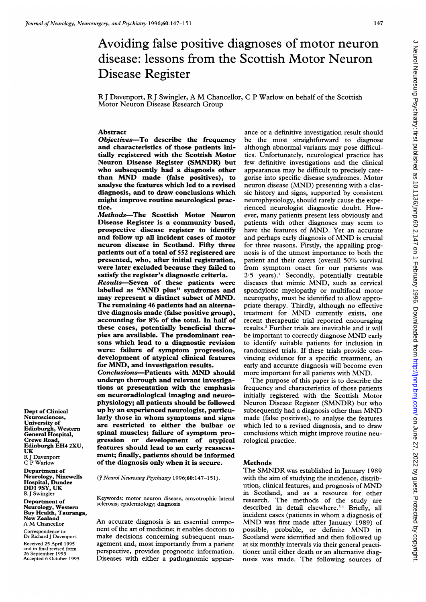# Avoiding false positive diagnoses of motor neuron disease: lessons from the Scottish Motor Neuron Disease Register

R <sup>J</sup> Davenport, R <sup>J</sup> Swingler, A M Chancellor, <sup>C</sup> <sup>P</sup> Warlow on behalf of the Scottish Motor Neuron Disease Research Group

## Abstract

Objectives-To describe the frequency and characteristics of those patients initially registered with the Scottish Motor Neuron Disease Register (SMNDR) but who subsequently had a diagnosis other than MND made (false positives), to analyse the features which led to a revised diagnosis, and to draw conclusions which might improve routine neurological practice.

Methods-The Scottish Motor Neuron Disease Register is a community based, prospective disease register to identify and follow up all incident cases of motor neuron disease in Scotland. Fifty three patients out of a total of 552 registered are presented, who, after initial registration, were later excluded because they failed to satisfy the register's diagnostic criteria.

Results-Seven of these patients were labelled as "MND plus" syndromes and may represent a distinct subset of MND. The remaining 46 patients had an alternative diagnosis made (false positive group), accounting for 8% of the total. In half of these cases, potentially beneficial therapies are available. The predominant reasons which lead to a diagnostic revision were: failure of symptom progression, development of atypical clinical features for MND, and investigation results.

Conclusions-Patients with MND should undergo thorough and relevant investigations at presentation with the emphasis on neuroradiological imaging and neurophysiology; all patients should be followed up by an experienced neurologist, particularly those in whom symptoms and signs are restricted to either the bulbar or spinal muscles; failure of symptom progression or development of atypical features should lead to an early reassessment; finally, patients should be informed of the diagnosis only when it is secure.

(7 Neurol Neurosurg Psychiatry 1996;60: 147-151).

Keywords: motor neuron disease; amyotrophic lateral sclerosis; epidemiology; diagnosis

An accurate diagnosis is an essential component of the art of medicine; it enables doctors to make decisions concerning subsequent management and, most importantly from a patient perspective, provides prognostic information. Diseases with either a pathognomic appear-

ance or a definitive investigation result should be the most straightforward to diagnose although abnormal variants may pose difficulties. Unfortunately, neurological practice has few definitive investigations and the clinical appearances may be difficult to precisely categorise into specific disease syndromes. Motor neuron disease (MND) presenting with <sup>a</sup> classic history and signs, supported by consistent neurophysiology, should rarely cause the experienced neurologist diagnostic doubt. However, many patients present less obviously and patients with other diagnoses may seem to have the features of MND. Yet an accurate and perhaps early diagnosis of MND is crucial for three reasons. Firstly, the appalling prognosis is of the utmost importance to both the patient and their carers (overall 50% survival from symptom onset for our patients was 2-5 years).' Secondly, potentially treatable diseases that mimic MND, such as cervical spondylotic myelopathy or multifocal motor neuropathy, must be identified to allow appropriate therapy. Thirdly, although no effective treatment for MND currently exists, one recent therapeutic trial reported encouraging results.2 Further trials are inevitable and it will be important to correctly diagnose MND early to identify suitable patients for inclusion in randomised trials. If these trials provide convincing evidence for a specific treatment, an early and accurate diagnosis will become even more important for all patients with MND.

The purpose of this paper is to describe the frequency and characteristics of those patients initially registered with the Scottish Motor Neuron Disease Register (SMNDR) but who subsequently had <sup>a</sup> diagnosis other than MND made (false positives), to analyse the features which led to a revised diagnosis, and to draw conclusions which might improve routine neurological practice.

#### **Methods**

The SMNDR was established in January <sup>1989</sup> with the aim of studying the incidence, distribution, clinical features, and prognosis of MND in Scotland, and as a resource for other research. The methods of the study are described in detail elsewhere.<sup>34</sup> Briefly, all incident cases (patients in whom <sup>a</sup> diagnosis of MND was first made after January 1989) of possible, probable, or definite MND in Scotland were identified and then followed up at six monthly intervals via their general practitioner until either death or an alternative diagnosis was made. The following sources of

Dept of Clinical Neurosciences, University of Edinburgh, Western General Hospital, Crewe Road, Edinburgh EH4 2XU, R <sup>J</sup> Davenport C P Warlow Department of

Neurology, Ninewells Hospital, Dundee DD1 9SY, UK R <sup>J</sup> Swingler

UK

Department of Neurology, Western Bay Health, Tauranga, New Zealand A M Chancellor Correspondence to: Dr Richard <sup>J</sup> Davenport. Received 25 April 1995 and in final revised form 26 September 1995 Accepted 6 October 1995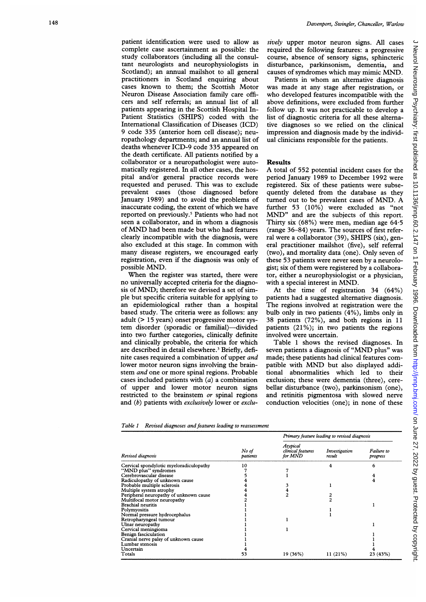patient identification were used to allow as complete case ascertainment as possible: the study collaborators (including all the consultant neurologists and neurophysiologists in Scotland); an annual mailshot to all general practitioners in Scotland enquiring about cases known to them; the Scottish Motor Neuron Disease Association family care officers and self referrals; an annual list of all patients appearing in the Scottish Hospital In-Patient Statistics (SHIPS) coded with the International Classification of Diseases (ICD) 9 code 335 (anterior horn cell disease); neuropathology departments; and an annual list of deaths whenever ICD-9 code 335 appeared on the death certificate. All patients notified by a collaborator or a neuropathologist were automatically registered. In all other cases, the hospital and/or general practice records were requested and perused. This was to exclude prevalent cases (those diagnosed before January 1989) and to avoid the problems of inaccurate coding, the extent of which we have reported on previously.5 Patients who had not seen <sup>a</sup> collaborator, and in whom <sup>a</sup> diagnosis of MND had been made but who had features clearly incompatible with the diagnosis, were also excluded at this stage. In common with many disease registers, we encouraged early registration, even if the diagnosis was only of possible MND.

When the register was started, there were no universally accepted criteria for the diagnosis of MND; therefore we devised <sup>a</sup> set of simple but specific criteria suitable for applying to an epidemiological rather than a hospital based study. The criteria were as follows: any adult (> 15 years) onset progressive motor system disorder (sporadic or familial)-divided into two further categories, clinically definite and clinically probable, the criteria for which are described in detail elsewhere.3 Briefly, definite cases required a combination of upper and lower motor neuron signs involving the brainstem and one or more spinal regions. Probable cases included patients with (a) a combination of upper and lower motor neuron signs restricted to the brainstem or spinal regions and (b) patients with exclusively lower or exclusively upper motor neuron signs. All cases required the following features: a progressive course, absence of sensory signs, sphincteric disturbance, parkinsonism, dementia, and causes of syndromes which may mimic MND.

Patients in whom an alternative diagnosis was made at any stage after registration, or who developed features incompatible with the above definitions, were excluded from further follow up. It was not practicable to develop a list of diagnostic criteria for all these alternative diagnoses so we relied on the clinical impression and diagnosis made by the individual clinicians responsible for the patients.

### Results

A total of 552 potential incident cases for the period January 1989 to December 1992 were registered. Six of these patients were subsequently deleted from the database as they turned out to be prevalent cases of MND. A further 53 (10%) were excluded as "not MND" and are the subjects of this report. Thirty six (68%) were men, median age 64-5 (range 36-84) years. The sources of first referral were <sup>a</sup> collaborator (39), SHIPS (six), general practitioner mailshot (five), self referral (two), and mortality data (one). Only seven of these 53 patients were never seen by a neurologist; six of them were registered by a collaborator, either a neurophysiologist or a physician, with <sup>a</sup> special interest in MND.

At the time of registration 34 (64%) patients had a suggested alternative diagnosis. The regions involved at registration were the bulb only in two patients (4%), limbs only in 38 patients (72%), and both regions in 11 patients  $(21\%)$ ; in two patients the regions involved were uncertain.

Table <sup>1</sup> shows the revised diagnoses. In seven patients <sup>a</sup> diagnosis of "MND plus" was made; these patients had clinical features compatible with MND but also displayed additional abnormalities which led to their exclusion; these were dementia (three), cerebellar disturbance (two), parkinsonism (one), and retinitis pigmentosa with slowed nerve conduction velocities (one); in none of these

Table 1 Revised diagnoses and features leading to reassessment

| Revised diagnosis                       | No of<br>patients | Primary feature leading to revised diagnosis |                         |                        |
|-----------------------------------------|-------------------|----------------------------------------------|-------------------------|------------------------|
|                                         |                   | Atypical<br>clinical features<br>for MND     | Investigation<br>result | Failure to<br>progress |
| Cervical spondylotic myeloradiculopathy | 10                |                                              | 4                       | 6                      |
| "MND plus" syndromes                    |                   |                                              |                         |                        |
| Cerebrovascular disease                 |                   |                                              |                         |                        |
| Radiculopathy of unknown cause          |                   |                                              |                         |                        |
| Probable multiple sclerosis             |                   |                                              |                         |                        |
| Multiple system atrophy                 |                   |                                              |                         |                        |
| Peripheral neuropathy of unknown cause  |                   |                                              |                         |                        |
| Multifocal motor neuropathy             |                   |                                              | $\overline{a}$          |                        |
| <b>Brachial neuritis</b>                |                   |                                              |                         |                        |
| Polymyositis                            |                   |                                              |                         |                        |
| Normal pressure hydrocephalus           |                   |                                              |                         |                        |
| Retropharyngeal tumour                  |                   |                                              |                         |                        |
| Ulnar neuropathy                        |                   |                                              |                         |                        |
| Cervical meningioma                     |                   |                                              |                         |                        |
| Benign fasciculation                    |                   |                                              |                         |                        |
| Cranial nerve palsy of unknown cause    |                   |                                              |                         |                        |
| Lumbar stenosis                         |                   |                                              |                         |                        |
| Uncertain                               |                   |                                              |                         |                        |
| Totals                                  | 53                | 19 (36%)                                     | 11(21%)                 | 23 (43%)               |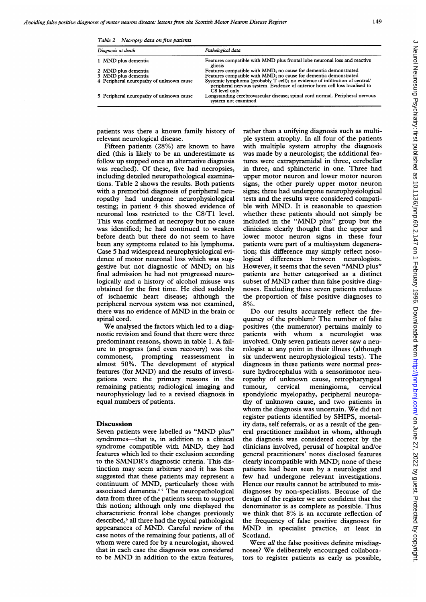Table 2 Necropsy data on five patients

| Diagnosis at death                       | Pathological data                                                                                                                                                            |  |  |  |
|------------------------------------------|------------------------------------------------------------------------------------------------------------------------------------------------------------------------------|--|--|--|
| 1 MND plus dementia                      | Features compatible with MND plus frontal lobe neuronal loss and reactive<br>gliosis                                                                                         |  |  |  |
| 2 MND plus dementia                      | Features compatible with MND; no cause for dementia demonstrated                                                                                                             |  |  |  |
| 3 MND plus dementia                      | Features compatible with MND; no cause for dementia demonstrated                                                                                                             |  |  |  |
| 4 Peripheral neuropathy of unknown cause | Systemic lymphoma (probably T cell); no evidence of infiltration of central/<br>peripheral nervous system. Evidence of anterior horn cell loss localised to<br>C8 level only |  |  |  |
| 5 Peripheral neuropathy of unknown cause | Longstanding cerebrovascular disease; spinal cord normal. Peripheral nervous<br>system not examined                                                                          |  |  |  |

patients was there a known family history of relevant neurological disease.

Fifteen patients (28%) are known to have died (this is likely to be an underestimate as follow up stopped once an alternative diagnosis was reached). Of these, five had necropsies, including detailed neuropathological examinations. Table 2 shows the results. Both patients with a premorbid diagnosis of peripheral neuropathy had undergone neurophysiological testing; in patient 4 this showed evidence of neuronal loss restricted to the C8/T1 level. This was confirmed at necropsy but no cause was identified; he had continued to weaken before death but there do not seem to have been any symptoms related to his lymphoma. Case 5 had widespread neurophysiological evidence of motor neuronal loss which was suggestive but not diagnostic of MND; on his final admission he had not progressed neurologically and a history of alcohol misuse was obtained for the first time. He died suddenly of ischaemic heart disease; although the peripheral nervous system was not examined, there was no evidence of MND in the brain or spinal cord.

We analysed the factors which led to <sup>a</sup> diagnostic revision and found that there were three predominant reasons, shown in table 1. A failure to progress (and even recovery) was the commonest, prompting reassessment in almost 50%. The development of atypical features (for MND) and the results of investigations were the primary reasons in the remaining patients; radiological imaging and neurophysiology led to a revised diagnosis in equal numbers of patients.

### Discussion

Seven patients were labelled as "MND plus" syndromes-that is, in addition to a clinical syndrome compatible with MND, they had features which led to their exclusion according to the SMNDR's diagnostic criteria. This distinction may seem arbitrary and it has been suggested that these patients may represent <sup>a</sup> continuum of MND, particularly those with associated dementia.<sup>67</sup> The neuropathological data from three of the patients seem to support this notion; although only one displayed the characteristic frontal lobe changes previously described,<sup>6</sup> all three had the typical pathological appearances of MND. Careful review of the case notes of the remaining four patients, all of whom were cared for by <sup>a</sup> neurologist, showed that in each case the diagnosis was considered to be MND in addition to the extra features,

rather than a unifying diagnosis such as multiple system atrophy. In all four of the patients with multiple system atrophy the diagnosis was made by a neurologist; the additional features were extrapyramidal in three, cerebellar in three, and sphincteric in one. Three had upper motor neuron and lower motor neuron signs, the other purely upper motor neuron signs; three had undergone neurophysiological tests and the results were considered compatible with MND. It is reasonable to question whether these patients should not simply be included in the "MND plus" group but the clinicians clearly thought that the upper and lower motor neuron signs in these four patients were part of a multisystem degeneration; this difference may simply reflect nosological differences between neurologists. However, it seems that the seven "MND plus" patients are better categorised as a distinct subset of MND rather than false positive diagnoses. Excluding these seven patients reduces the proportion of false positive diagnoses to 8%.

Do our results accurately reflect the frequency of the problem? The number of false positives (the numerator) pertains mainly to patients with whom <sup>a</sup> neurologist was involved. Only seven patients never saw a neurologist at any point in their illness (although six underwent neurophysiological tests). The diagnoses in these patients were normal pressure hydrocephalus with a sensorimotor neuropathy of unknown cause, retropharyngeal tumour, cervical meningioma, cervical spondylotic myelopathy, peripheral neuropathy of unknown cause, and two patients in whom the diagnosis was uncertain. We did not register patients identified by SHIPS, mortality data, self referrals, or as a result of the general practitioner mailshot in whom, although the diagnosis was considered correct by the clinicians involved, perusal of hospital and/or general practitioners' notes disclosed features clearly incompatible with MND; none of these patients had been seen by a neurologist and few had undergone relevant investigations. Hence our results cannot be attributed to misdiagnoses by non-specialists. Because of the design of the register we are confident that the denominator is as complete as possible. Thus we think that 8% is an accurate reflection of the frequency of false positive diagnoses for MND in specialist practice, at least in Scotland.

Were all the false positives definite misdiagnoses? We deliberately encouraged collaborators to register patients as early as possible,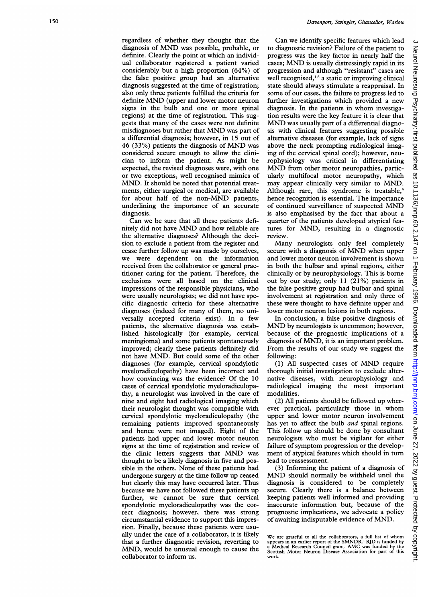regardless of whether they thought that the diagnosis of MND was possible, probable, or definite. Clearly the point at which an individual collaborator registered a patient varied considerably but a high proportion (64%) of the false positive group had an alternative diagnosis suggested at the time of registration; also only three patients fulfilled the criteria for definite MND (upper and lower motor neuron signs in the bulb and one or more spinal regions) at the time of registration. This suggests that many of the cases were not definite misdiagnoses but rather that MND was part of a differential diagnosis; however, in 15 out of <sup>46</sup> (33%) patients the diagnosis of MND was considered secure enough to allow the clinician to inform the patient. As might be expected, the revised diagnoses were, with one or two exceptions, well recognised mimics of MND. It should be noted that potential treatments, either surgical or medical, are available for about half of the non-MND patients, underlining the importance of an accurate diagnosis.

Can we be sure that all these patients definitely did not have MND and how reliable are the alternative diagnoses? Although the decision to exclude a patient from the register and cease further follow up was made by ourselves, we were dependent on the information received from the collaborator or general practitioner caring for the patient. Therefore, the exclusions were all based on the clinical impressions of the responsible physicians, who were usually neurologists; we did not have specific diagnostic criteria for these alternative diagnoses (indeed for many of them, no universally accepted criteria exist). In a few patients, the alternative diagnosis was established histologically (for example, cervical meningioma) and some patients spontaneously improved; clearly these patients definitely did not have MND. But could some of the other diagnoses (for example, cervical spondylotic myeloradiculopathy) have been incorrect and how convincing was the evidence? Of the 10 cases of cervical spondylotic myeloradiculopathy, a neurologist was involved in the care of nine and eight had radiological imaging which their neurologist thought was compatible with cervical spondylotic myeloradiculopathy (the remaining patients improved spontaneously and hence were not imaged). Eight of the patients had upper and lower motor neuron signs at the time of registration and review of the clinic letters suggests that MND was thought to be a likely diagnosis in five and possible in the others. None of these patients had undergone surgery at the time follow up ceased but clearly this may have occurred later. Thus because we have not followed these patients up further, we cannot be sure that cervical spondylotic myeloradiculopathy was the correct diagnosis; however, there was strong circumstantial evidence to support this impression. Finally, because these patients were usually under the care of a collaborator, it is likely that a further diagnostic revision, reverting to MND, would be unusual enough to cause the collaborator to inform us.

Can we identify specific features which lead to diagnostic revision? Failure of the patient to progress was the key factor in nearly half the cases; MND is usually distressingly rapid in its progression and although "resistant" cases are well recognised,<sup>18</sup> a static or improving clinical state should always stimulate a reappraisal. In some of our cases, the failure to progress led to further investigations which provided <sup>a</sup> new diagnosis. In the patients in whom investigation results were the key feature it is clear that MND was usually part of a differential diagnosis with clinical features suggesting possible alternative diseases (for example, lack of signs above the neck prompting radiological imaging of the cervical spinal cord); however, neurophysiology was critical in differentiating MND from other motor neuropathies, particularly multifocal motor neuropathy, which may appear clinically very similar to MND. Although rare, this syndrome is treatable,<sup>9</sup> hence recognition is essential. The importance of continued surveillance of suspected MND is also emphasised by the fact that about a quarter of the patients developed atypical features for MND, resulting in <sup>a</sup> diagnostic review.

Many neurologists only feel completely secure with a diagnosis of MND when upper and lower motor neuron involvement is shown in both the bulbar and spinal regions, either clinically or by neurophysiology. This is borne out by our study; only 11 (21%) patients in the false positive group had bulbar and spinal involvement at registration and only three of these were thought to have definite upper and lower motor neuron lesions in both regions.

In conclusion, a false positive diagnosis of MND by neurologists is uncommon; however, because of the prognostic implications of a diagnosis of MND, it is an important problem. From the results of our study we suggest the following:

(1) All suspected cases of MND require thorough initial investigation to exclude alternative diseases, with neurophysiology and radiological imaging the most important modalities.

(2) All patients should be followed up wherever practical, particularly those in whom upper and lower motor neuron involvement has yet to affect the bulb and spinal regions. This follow up should be done by consultant neurologists who must be vigilant for either failure of symptom progression or the development of atypical features which should in turn lead to reassessment.

(3) Informing the patient of a diagnosis of MND should normally be withheld until the diagnosis is considered to be completely secure. Clearly there is a balance between keeping patients well informed and providing inaccurate information but, because of the prognostic implications, we advocate a policy of awaiting indisputable evidence of MND.

 $\epsilon$ 

We are grateful to all the collaborators, <sup>a</sup> full list of whom appears in an earlier report of the SMNDR.<sup>3</sup> RJD is funded by the a Medical Research Council grant. AMC was funded by the Scottish Motor Neuron Disease Association for part of this work.